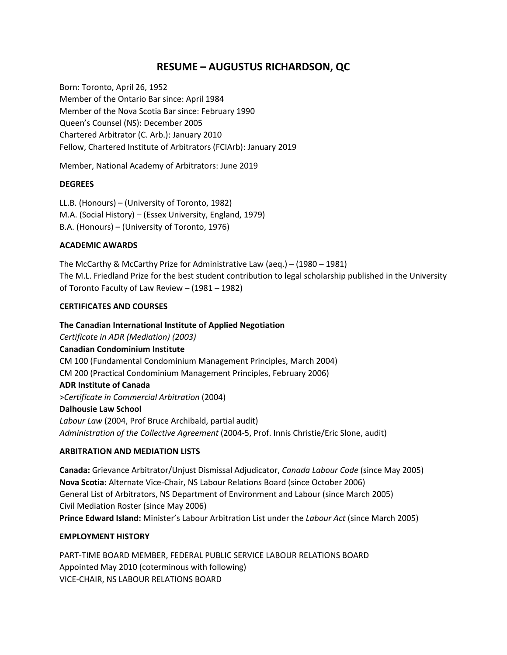# **RESUME – AUGUSTUS RICHARDSON, QC**

Born: Toronto, April 26, 1952 Member of the Ontario Bar since: April 1984 Member of the Nova Scotia Bar since: February 1990 Queen's Counsel (NS): December 2005 Chartered Arbitrator (C. Arb.): January 2010 Fellow, Chartered Institute of Arbitrators (FCIArb): January 2019

Member, National Academy of Arbitrators: June 2019

#### **DEGREES**

LL.B. (Honours) – (University of Toronto, 1982) M.A. (Social History) – (Essex University, England, 1979) B.A. (Honours) – (University of Toronto, 1976)

### **ACADEMIC AWARDS**

The McCarthy & McCarthy Prize for Administrative Law (aeq.) – (1980 – 1981) The M.L. Friedland Prize for the best student contribution to legal scholarship published in the University of Toronto Faculty of Law Review – (1981 – 1982)

#### **CERTIFICATES AND COURSES**

**The Canadian International Institute of Applied Negotiation** *Certificate in ADR (Mediation) (2003)* **Canadian Condominium Institute** CM 100 (Fundamental Condominium Management Principles, March 2004) CM 200 (Practical Condominium Management Principles, February 2006) **ADR Institute of Canada** >*Certificate in Commercial Arbitration* (2004) **Dalhousie Law School** *Labour Law* (2004, Prof Bruce Archibald, partial audit) *Administration of the Collective Agreement* (2004-5, Prof. Innis Christie/Eric Slone, audit)

#### **ARBITRATION AND MEDIATION LISTS**

**Canada:** Grievance Arbitrator/Unjust Dismissal Adjudicator, *Canada Labour Code* (since May 2005) **Nova Scotia:** Alternate Vice-Chair, NS Labour Relations Board (since October 2006) General List of Arbitrators, NS Department of Environment and Labour (since March 2005) Civil Mediation Roster (since May 2006) **Prince Edward Island:** Minister's Labour Arbitration List under the *Labour Act* (since March 2005)

#### **EMPLOYMENT HISTORY**

PART-TIME BOARD MEMBER, FEDERAL PUBLIC SERVICE LABOUR RELATIONS BOARD Appointed May 2010 (coterminous with following) VICE-CHAIR, NS LABOUR RELATIONS BOARD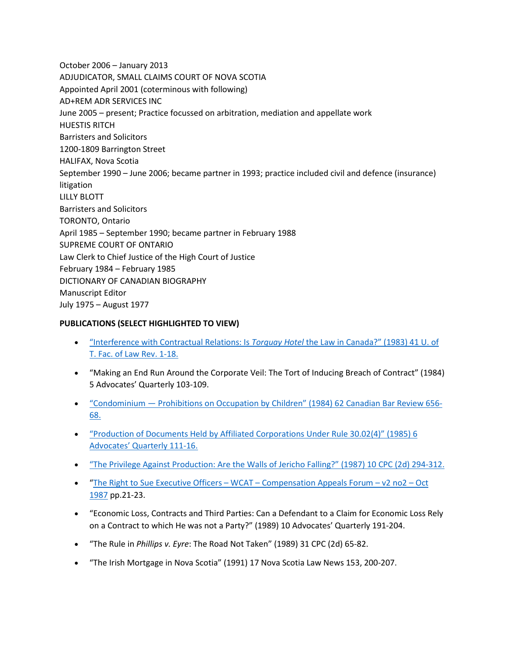October 2006 – January 2013 ADJUDICATOR, SMALL CLAIMS COURT OF NOVA SCOTIA Appointed April 2001 (coterminous with following) AD+REM ADR SERVICES INC June 2005 – present; Practice focussed on arbitration, mediation and appellate work HUESTIS RITCH Barristers and Solicitors 1200-1809 Barrington Street HALIFAX, Nova Scotia September 1990 – June 2006; became partner in 1993; practice included civil and defence (insurance) litigation LILLY BLOTT Barristers and Solicitors TORONTO, Ontario April 1985 – September 1990; became partner in February 1988 SUPREME COURT OF ONTARIO Law Clerk to Chief Justice of the High Court of Justice February 1984 – February 1985 DICTIONARY OF CANADIAN BIOGRAPHY Manuscript Editor July 1975 – August 1977

## **PUBLICATIONS (SELECT HIGHLIGHTED TO VIEW)**

- ["Interference with Contractual Relations: Is](https://gusrichardson.com/pdfs/Richardson-Interference_with_Contractual_Relations-1981_39_U_of_T_Fac_Law_Rev_1.pdf) *Torquay Hotel* the Law in Canada?" (1983) 41 U. of [T. Fac. of Law Rev. 1-18.](https://gusrichardson.com/pdfs/Richardson-Interference_with_Contractual_Relations-1981_39_U_of_T_Fac_Law_Rev_1.pdf)
- "Making an End Run Around the Corporate Veil: The Tort of Inducing Breach of Contract" (1984) 5 Advocates' Quarterly 103-109.
- "Condominium [Prohibitions on Occupation by Children" \(1984\) 62 Canadian Bar Review 656-](https://gusrichardson.com/pdfs/Richardson-Condos-Prohibitions_of_Children-CBR_1984.pdf) [68.](https://gusrichardson.com/pdfs/Richardson-Condos-Prohibitions_of_Children-CBR_1984.pdf)
- ["Production of Documents Held by Affiliated Corporations Under Rule 30.02\(4\)" \(1985\) 6](https://gusrichardson.com/pdfs/Richardson-Production_of_Documents-6_Advocates_Quarterly_1985.pdf)  [Advocates' Quarterly 111-16.](https://gusrichardson.com/pdfs/Richardson-Production_of_Documents-6_Advocates_Quarterly_1985.pdf)
- ["The Privilege Against Production: Are the Walls of Jericho Falling?" \(1987\) 10 CPC \(2d\) 294-312.](https://gusrichardson.com/pdfs/Richardson-Privilege_Against_Production-1986_10_CPC_2nd_294.pdf)
- ["The Right to Sue Executive Officers –](https://www.gusrichardson.com/wp-content/uploads/2009/07/The-Right-to-Sue-Executive-Officers-WCAT-Compensation-Appeals-Forum-v2-no2-Oct-1987.pdf) WCAT Compensation Appeals Forum v2 no2 Oct [1987](https://www.gusrichardson.com/wp-content/uploads/2009/07/The-Right-to-Sue-Executive-Officers-WCAT-Compensation-Appeals-Forum-v2-no2-Oct-1987.pdf) pp.21-23.
- "Economic Loss, Contracts and Third Parties: Can a Defendant to a Claim for Economic Loss Rely on a Contract to which He was not a Party?" (1989) 10 Advocates' Quarterly 191-204.
- "The Rule in *Phillips v. Eyre*: The Road Not Taken" (1989) 31 CPC (2d) 65-82.
- "The Irish Mortgage in Nova Scotia" (1991) 17 Nova Scotia Law News 153, 200-207.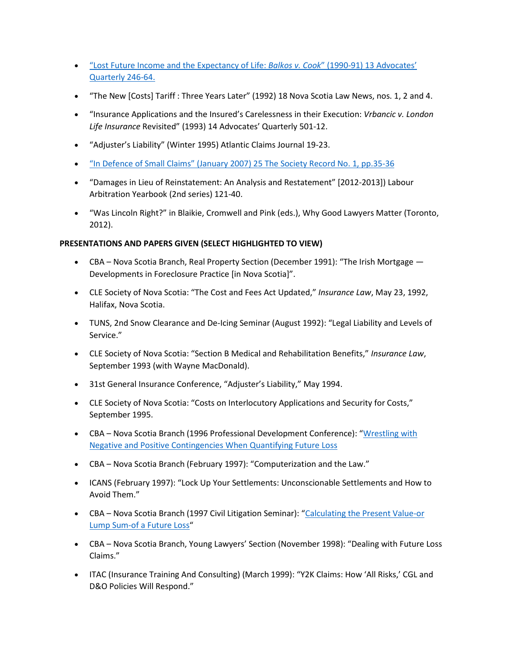- ["Lost Future Income and the Expectancy of Life:](https://gusrichardson.com/pdfs/Richardson-Lost_Future_Income-13_Advocates_Quarterly_1990-91.pdf) *Balkos v. Cook*" (1990-91) 13 Advocates' [Quarterly 246-64.](https://gusrichardson.com/pdfs/Richardson-Lost_Future_Income-13_Advocates_Quarterly_1990-91.pdf)
- "The New [Costs] Tariff : Three Years Later" (1992) 18 Nova Scotia Law News, nos. 1, 2 and 4.
- "Insurance Applications and the Insured's Carelessness in their Execution: *Vrbancic v. London Life Insurance* Revisited" (1993) 14 Advocates' Quarterly 501-12.
- "Adjuster's Liability" (Winter 1995) Atlantic Claims Journal 19-23.
- ["In Defence of Small Claims" \(January 2007\) 25 The Society Record No. 1, pp.35-36](https://gusrichardson.com/pdfs/Richardson-In_Defence_of_Small_Claims-25_The_Society_Record_2007.pdf)
- "Damages in Lieu of Reinstatement: An Analysis and Restatement" [2012-2013]) Labour Arbitration Yearbook (2nd series) 121-40.
- "Was Lincoln Right?" in Blaikie, Cromwell and Pink (eds.), Why Good Lawyers Matter (Toronto, 2012).

## **PRESENTATIONS AND PAPERS GIVEN (SELECT HIGHLIGHTED TO VIEW)**

- CBA Nova Scotia Branch, Real Property Section (December 1991): "The Irish Mortgage Developments in Foreclosure Practice [in Nova Scotia]".
- CLE Society of Nova Scotia: "The Cost and Fees Act Updated," *Insurance Law*, May 23, 1992, Halifax, Nova Scotia.
- TUNS, 2nd Snow Clearance and De-Icing Seminar (August 1992): "Legal Liability and Levels of Service."
- CLE Society of Nova Scotia: "Section B Medical and Rehabilitation Benefits," *Insurance Law*, September 1993 (with Wayne MacDonald).
- 31st General Insurance Conference, "Adjuster's Liability," May 1994.
- CLE Society of Nova Scotia: "Costs on Interlocutory Applications and Security for Costs," September 1995.
- CBA Nova Scotia Branch (1996 Professional Development Conference): ["Wrestling](https://www.gusrichardson.com/wp-content/uploads/2009/07/Wrestling-with-Negative-and-Positive-Contingencies-When-Quantifying-Future-Loss-CBA-Prof-Dev-April-1996.pdf) with [Negative and Positive Contingencies When Quantifying Future Loss](https://www.gusrichardson.com/wp-content/uploads/2009/07/Wrestling-with-Negative-and-Positive-Contingencies-When-Quantifying-Future-Loss-CBA-Prof-Dev-April-1996.pdf)
- CBA Nova Scotia Branch (February 1997): "Computerization and the Law."
- ICANS (February 1997): "Lock Up Your Settlements: Unconscionable Settlements and How to Avoid Them."
- CBA Nova Scotia Branch (1997 Civil Litigation Seminar): ["Calculating the Present Value-or](https://www.gusrichardson.com/wp-content/uploads/2009/07/Calculating-the-Present-Value-or-Lump-Sum-of-a-Future-Loss-19972.pdf)  [Lump Sum-of a Future Loss"](https://www.gusrichardson.com/wp-content/uploads/2009/07/Calculating-the-Present-Value-or-Lump-Sum-of-a-Future-Loss-19972.pdf)
- CBA Nova Scotia Branch, Young Lawyers' Section (November 1998): "Dealing with Future Loss Claims."
- ITAC (Insurance Training And Consulting) (March 1999): "Y2K Claims: How 'All Risks,' CGL and D&O Policies Will Respond."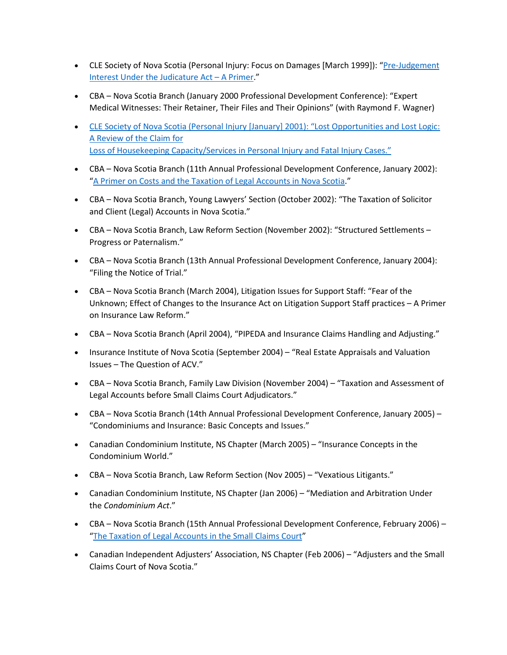- CLE Society of Nova Scotia (Personal Injury: Focus on Damages [March 1999]): ["Pre-Judgement](https://www.gusrichardson.com/wp-content/uploads/2009/07/Pre-Judgement-Interest-Under-the-Judicature-Act-A-Primer.pdf)  [Interest Under the Judicature Act –](https://www.gusrichardson.com/wp-content/uploads/2009/07/Pre-Judgement-Interest-Under-the-Judicature-Act-A-Primer.pdf) A Primer."
- CBA Nova Scotia Branch (January 2000 Professional Development Conference): "Expert Medical Witnesses: Their Retainer, Their Files and Their Opinions" (with Raymond F. Wagner)
- [CLE Society of Nova Scotia \(Personal Injury \[January\] 2001\): "Lost Opportunities and Lost Logic:](https://gusrichardson.com/pdfs/Richardson-CLE_Jan_2001-Loss_of_Housekeeping_Capacity_Claims.pdf)  [A Review of the Claim for](https://gusrichardson.com/pdfs/Richardson-CLE_Jan_2001-Loss_of_Housekeeping_Capacity_Claims.pdf) [Loss of Housekeeping Capacity/Services in Personal Injury and Fatal Injury Cases."](https://gusrichardson.com/pdfs/Richardson-CLE_Jan_2001-Loss_of_Housekeeping_Capacity_Claims.pdf)
- CBA Nova Scotia Branch (11th Annual Professional Development Conference, January 2002): ["A Primer on Costs and the Taxation of Legal Accounts in Nova Scotia.](https://www.gusrichardson.com/wp-content/uploads/2009/07/A-Primer-on-Costs-and-the-Taxation-of-Legal-Accounts-in-Nova-Scotia.pdf)"
- CBA Nova Scotia Branch, Young Lawyers' Section (October 2002): "The Taxation of Solicitor and Client (Legal) Accounts in Nova Scotia."
- CBA Nova Scotia Branch, Law Reform Section (November 2002): "Structured Settlements Progress or Paternalism."
- CBA Nova Scotia Branch (13th Annual Professional Development Conference, January 2004): "Filing the Notice of Trial."
- CBA Nova Scotia Branch (March 2004), Litigation Issues for Support Staff: "Fear of the Unknown; Effect of Changes to the Insurance Act on Litigation Support Staff practices – A Primer on Insurance Law Reform."
- CBA Nova Scotia Branch (April 2004), "PIPEDA and Insurance Claims Handling and Adjusting."
- Insurance Institute of Nova Scotia (September 2004) "Real Estate Appraisals and Valuation Issues – The Question of ACV."
- CBA Nova Scotia Branch, Family Law Division (November 2004) "Taxation and Assessment of Legal Accounts before Small Claims Court Adjudicators."
- CBA Nova Scotia Branch (14th Annual Professional Development Conference, January 2005) "Condominiums and Insurance: Basic Concepts and Issues."
- Canadian Condominium Institute, NS Chapter (March 2005) "Insurance Concepts in the Condominium World."
- CBA Nova Scotia Branch, Law Reform Section (Nov 2005) "Vexatious Litigants."
- Canadian Condominium Institute, NS Chapter (Jan 2006) "Mediation and Arbitration Under the *Condominium Act*."
- CBA Nova Scotia Branch (15th Annual Professional Development Conference, February 2006) ["The Taxation of Legal Accounts in the Small Claims Court"](https://www.gusrichardson.com/wp-content/uploads/2009/07/The-Taxation-of-Legal-Accounts-in-the-Small-Claims-Court-CBA-20064.pdf)
- Canadian Independent Adjusters' Association, NS Chapter (Feb 2006) "Adjusters and the Small Claims Court of Nova Scotia."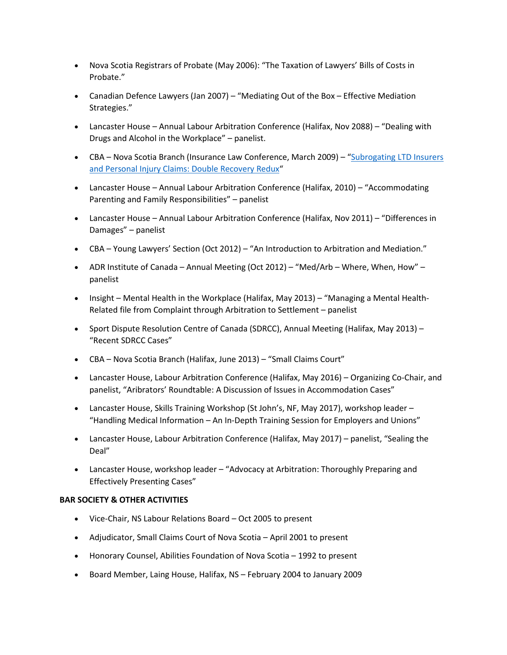- Nova Scotia Registrars of Probate (May 2006): "The Taxation of Lawyers' Bills of Costs in Probate."
- Canadian Defence Lawyers (Jan 2007) "Mediating Out of the Box Effective Mediation Strategies."
- Lancaster House Annual Labour Arbitration Conference (Halifax, Nov 2088) "Dealing with Drugs and Alcohol in the Workplace" – panelist.
- CBA Nova Scotia Branch (Insurance Law Conference, March 2009) ["Subrogating LTD Insurers](https://www.gusrichardson.com/wp-content/uploads/2009/07/CBA-Subrogation-Paper-March-2009-REVISED-FINAL-VERSION2.pdf)  [and Personal Injury Claims: Double Recovery Redux"](https://www.gusrichardson.com/wp-content/uploads/2009/07/CBA-Subrogation-Paper-March-2009-REVISED-FINAL-VERSION2.pdf)
- Lancaster House Annual Labour Arbitration Conference (Halifax, 2010) "Accommodating Parenting and Family Responsibilities" – panelist
- Lancaster House Annual Labour Arbitration Conference (Halifax, Nov 2011) "Differences in Damages" – panelist
- CBA Young Lawyers' Section (Oct 2012) "An Introduction to Arbitration and Mediation."
- ADR Institute of Canada Annual Meeting (Oct 2012) "Med/Arb Where, When, How" panelist
- Insight Mental Health in the Workplace (Halifax, May 2013) "Managing a Mental Health-Related file from Complaint through Arbitration to Settlement – panelist
- Sport Dispute Resolution Centre of Canada (SDRCC), Annual Meeting (Halifax, May 2013) "Recent SDRCC Cases"
- CBA Nova Scotia Branch (Halifax, June 2013) "Small Claims Court"
- Lancaster House, Labour Arbitration Conference (Halifax, May 2016) Organizing Co-Chair, and panelist, "Aribrators' Roundtable: A Discussion of Issues in Accommodation Cases"
- Lancaster House, Skills Training Workshop (St John's, NF, May 2017), workshop leader -"Handling Medical Information – An In-Depth Training Session for Employers and Unions"
- Lancaster House, Labour Arbitration Conference (Halifax, May 2017) panelist, "Sealing the Deal"
- Lancaster House, workshop leader "Advocacy at Arbitration: Thoroughly Preparing and Effectively Presenting Cases"

#### **BAR SOCIETY & OTHER ACTIVITIES**

- Vice-Chair, NS Labour Relations Board Oct 2005 to present
- Adjudicator, Small Claims Court of Nova Scotia April 2001 to present
- Honorary Counsel, Abilities Foundation of Nova Scotia 1992 to present
- Board Member, Laing House, Halifax, NS February 2004 to January 2009